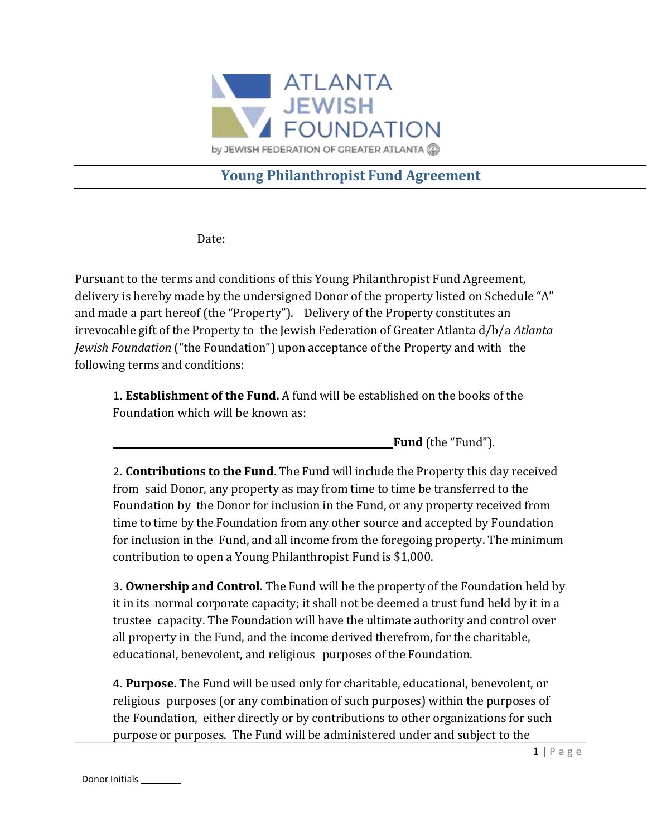

## **Young Philanthropist Fund Agreement**

Date: when the contract of the contract of the contract of the contract of the contract of the contract of the contract of the contract of the contract of the contract of the contract of the contract of the contract of the

Pursuant to the terms and conditions of this Young Philanthropist Fund Agreement, delivery is hereby made by the undersigned Donor of the property listed on Schedule "A" and made a part hereof (the "Property"). Delivery of the Property constitutes an irrevocable gift of the Property to the Jewish Federation of Greater Atlanta d/b/a *Atlanta Jewish Foundation* ("the Foundation") upon acceptance of the Property and with the following terms and conditions:

1. **Establishment of the Fund.** A fund will be established on the books of the Foundation which will be known as:

**Fund** (the "Fund").

2. **Contributions to the Fund**. The Fund will include the Property this day received from said Donor, any property as may from time to time be transferred to the Foundation by the Donor for inclusion in the Fund, or any property received from time to time by the Foundation from any other source and accepted by Foundation for inclusion in the Fund, and all income from the foregoing property. The minimum contribution to open a Young Philanthropist Fund is \$1,000.

3. **Ownership and Control.** The Fund will be the property of the Foundation held by it in its normal corporate capacity; it shall not be deemed a trust fund held by it in a trustee capacity. The Foundation will have the ultimate authority and control over all property in the Fund, and the income derived therefrom, for the charitable, educational, benevolent, and religious purposes of the Foundation.

4. **Purpose.** The Fund will be used only for charitable, educational, benevolent, or religious purposes (or any combination of such purposes) within the purposes of the Foundation, either directly or by contributions to other organizations for such purpose or purposes. The Fund will be administered under and subject to the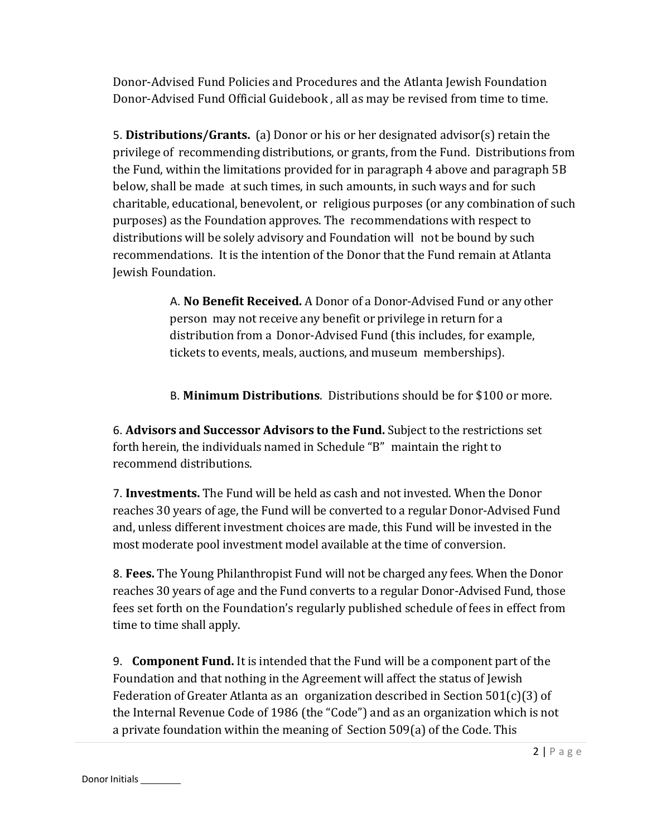Donor-Advised Fund Policies and Procedures and the Atlanta Jewish Foundation Donor-Advised Fund Official Guidebook , all as may be revised from time to time.

5. **Distributions/Grants.** (a) Donor or his or her designated advisor(s) retain the privilege of recommending distributions, or grants, from the Fund. Distributions from the Fund, within the limitations provided for in paragraph 4 above and paragraph 5B below, shall be made at such times, in such amounts, in such ways and for such charitable, educational, benevolent, or religious purposes (or any combination of such purposes) as the Foundation approves. The recommendations with respect to distributions will be solely advisory and Foundation will not be bound by such recommendations. It is the intention of the Donor that the Fund remain at Atlanta Jewish Foundation.

> A. **No Benefit Received.** A Donor of a Donor-Advised Fund or any other person may not receive any benefit or privilege in return for a distribution from a Donor-Advised Fund (this includes, for example, tickets to events, meals, auctions, and museum memberships).

> B. **Minimum Distributions**. Distributions should be for \$100 or more.

6. **Advisors and Successor Advisors to the Fund.** Subject to the restrictions set forth herein, the individuals named in Schedule "B" maintain the right to recommend distributions.

7. **Investments.** The Fund will be held as cash and not invested. When the Donor reaches 30 years of age, the Fund will be converted to a regular Donor-Advised Fund and, unless different investment choices are made, this Fund will be invested in the most moderate pool investment model available at the time of conversion.

8. **Fees.** The Young Philanthropist Fund will not be charged any fees. When the Donor reaches 30 years of age and the Fund converts to a regular Donor-Advised Fund, those fees set forth on the Foundation's regularly published schedule of fees in effect from time to time shall apply.

9. **Component Fund.** It is intended that the Fund will be a component part of the Foundation and that nothing in the Agreement will affect the status of Jewish Federation of Greater Atlanta as an organization described in Section 501(c)(3) of the Internal Revenue Code of 1986 (the "Code") and as an organization which is not a private foundation within the meaning of Section 509(a) of the Code. This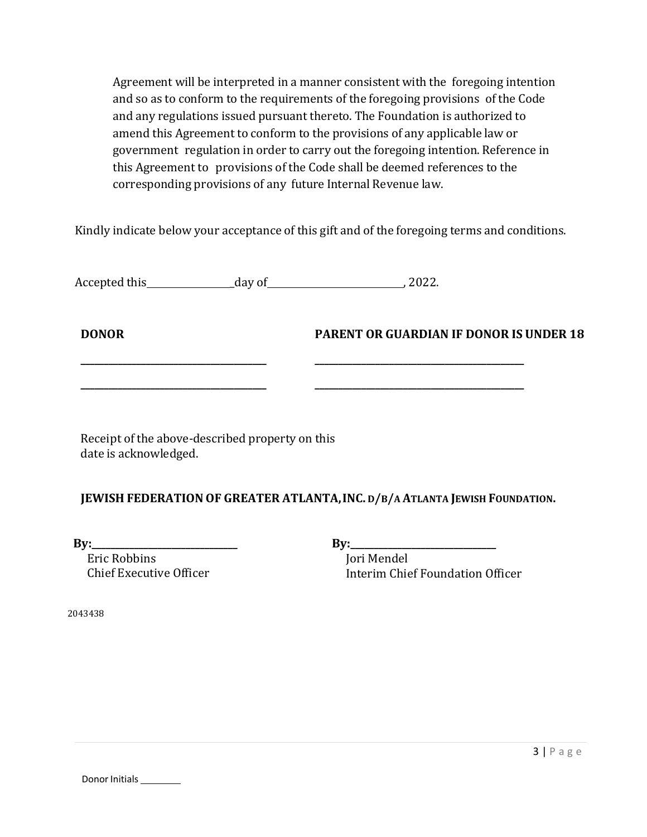Agreement will be interpreted in a manner consistent with the foregoing intention and so as to conform to the requirements of the foregoing provisions of the Code and any regulations issued pursuant thereto. The Foundation is authorized to amend this Agreement to conform to the provisions of any applicable law or government regulation in order to carry out the foregoing intention. Reference in this Agreement to provisions of the Code shall be deemed references to the corresponding provisions of any future Internal Revenue law.

Kindly indicate below your acceptance of this gift and of the foregoing terms and conditions.

| Accepted this | day of | .2022. |
|---------------|--------|--------|
|               |        |        |

**DONOR PARENT OR GUARDIAN IF DONOR IS UNDER 18** 

Receipt of the above-described property on this date is acknowledged.

#### **JEWISH FEDERATIONOF GREATER ATLANTA,INC. D/B/A ATLANTA JEWISH FOUNDATION.**

**\_\_\_\_\_\_\_\_\_\_\_\_\_\_\_\_\_\_\_\_\_\_\_\_\_\_\_\_\_\_\_\_\_\_\_\_\_\_\_\_ \_\_\_\_\_\_\_\_\_\_\_\_\_\_\_\_\_\_\_\_\_\_\_\_\_\_\_\_\_\_\_\_\_\_\_\_\_\_\_\_\_\_\_\_\_**

**\_\_\_\_\_\_\_\_\_\_\_\_\_\_\_\_\_\_\_\_\_\_\_\_\_\_\_\_\_\_\_\_\_\_\_\_\_\_\_\_ \_\_\_\_\_\_\_\_\_\_\_\_\_\_\_\_\_\_\_\_\_\_\_\_\_\_\_\_\_\_\_\_\_\_\_\_\_\_\_\_\_\_\_\_\_**

**By:\_\_\_\_\_\_\_\_\_\_\_\_\_\_\_\_\_\_\_\_\_\_\_\_\_\_\_\_** 

 Eric Robbins Chief Executive Officer **By:\_\_\_\_\_\_\_\_\_\_\_\_\_\_\_\_\_\_\_\_\_\_\_\_\_\_\_\_** 

 Jori Mendel Interim Chief Foundation Officer

2043438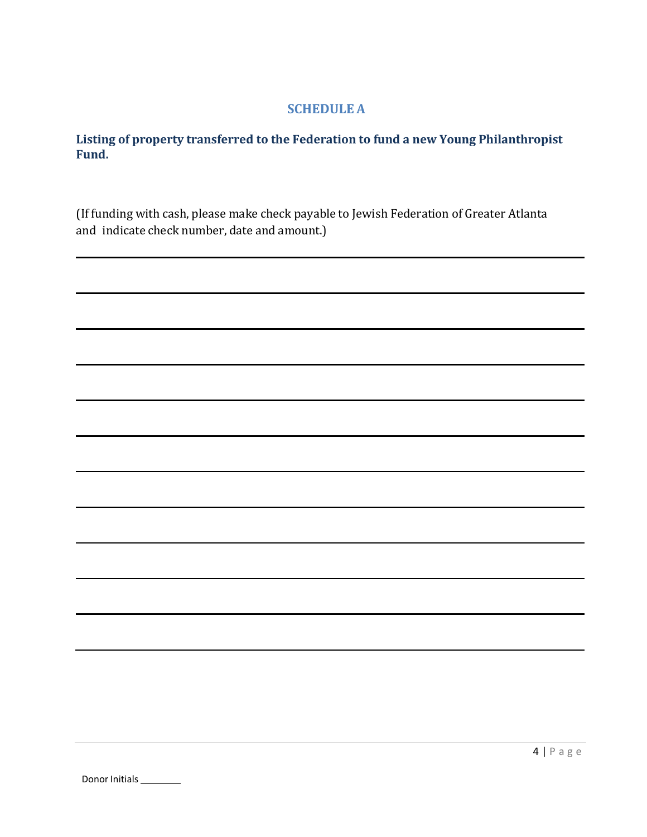### **SCHEDULE A**

#### **Listing of property transferred to the Federation to fund a new Young Philanthropist Fund.**

(If funding with cash, please make check payable to Jewish Federation of Greater Atlanta and indicate check number, date and amount.)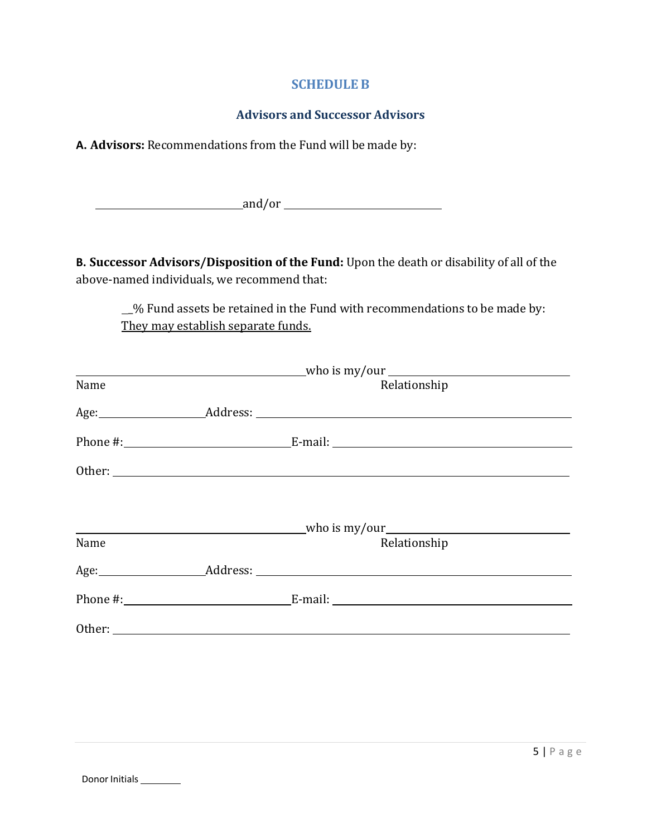#### **SCHEDULE B**

#### **Advisors and Successor Advisors**

**A. Advisors:** Recommendations from the Fund will be made by:

example and/or example and/or example and  $\frac{1}{2}$  and  $\frac{1}{2}$  and  $\frac{1}{2}$  and  $\frac{1}{2}$  and  $\frac{1}{2}$  and  $\frac{1}{2}$  and  $\frac{1}{2}$  and  $\frac{1}{2}$  and  $\frac{1}{2}$  and  $\frac{1}{2}$  and  $\frac{1}{2}$  and  $\frac{1}{2}$  and  $\frac{1}{2}$  an

**B. Successor Advisors/Disposition of the Fund:** Upon the death or disability of all of the above-named individuals, we recommend that:

\_% Fund assets be retained in the Fund with recommendations to be made by: They may establish separate funds.

| $\frac{1}{2}$ who is my/our $\frac{1}{2}$ whore $\frac{1}{2}$ whose $\frac{1}{2}$ whose $\frac{1}{2}$ whose $\frac{1}{2}$ whose $\frac{1}{2}$ whose $\frac{1}{2}$ whose $\frac{1}{2}$ whose $\frac{1}{2}$ whose $\frac{1}{2}$ whose $\frac{1}{2}$ whose $\frac{1}{2}$ whose $\frac{1$ |  |                                                                                                                                                                                                                                |  |
|---------------------------------------------------------------------------------------------------------------------------------------------------------------------------------------------------------------------------------------------------------------------------------------|--|--------------------------------------------------------------------------------------------------------------------------------------------------------------------------------------------------------------------------------|--|
| Name                                                                                                                                                                                                                                                                                  |  | Relationship                                                                                                                                                                                                                   |  |
|                                                                                                                                                                                                                                                                                       |  | Age: Address: Address: Address: Address: Address: Address: Address: Address: Address: Address: Address: Address: Address: Address: Address: Address: Address: Address: Address: Address: Address: Address: Address: Address: A |  |
|                                                                                                                                                                                                                                                                                       |  |                                                                                                                                                                                                                                |  |
|                                                                                                                                                                                                                                                                                       |  |                                                                                                                                                                                                                                |  |
|                                                                                                                                                                                                                                                                                       |  |                                                                                                                                                                                                                                |  |
|                                                                                                                                                                                                                                                                                       |  |                                                                                                                                                                                                                                |  |
| Name                                                                                                                                                                                                                                                                                  |  | Relationship                                                                                                                                                                                                                   |  |
|                                                                                                                                                                                                                                                                                       |  |                                                                                                                                                                                                                                |  |
|                                                                                                                                                                                                                                                                                       |  |                                                                                                                                                                                                                                |  |
|                                                                                                                                                                                                                                                                                       |  |                                                                                                                                                                                                                                |  |
|                                                                                                                                                                                                                                                                                       |  |                                                                                                                                                                                                                                |  |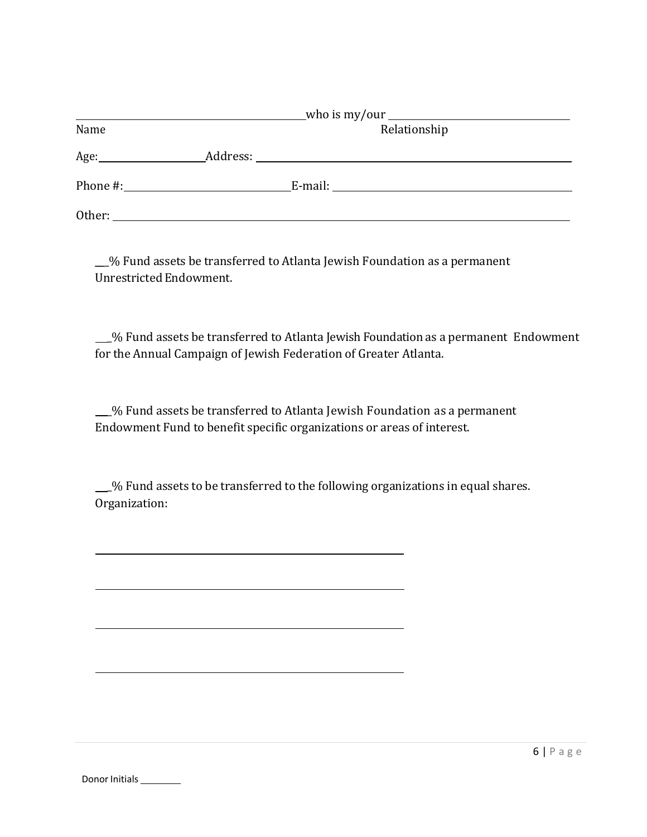| Name   |  | Relationship |  |
|--------|--|--------------|--|
| Age:   |  |              |  |
|        |  |              |  |
| Other: |  |              |  |

\_\_\_% Fund assets be transferred to Atlanta Jewish Foundation as a permanent Unrestricted Endowment.

 \_% Fund assets be transferred to Atlanta Jewish Foundation as a permanent Endowment for the Annual Campaign of Jewish Federation of Greater Atlanta.

 \_% Fund assets be transferred to Atlanta Jewish Foundation as a permanent Endowment Fund to benefit specific organizations or areas of interest.

 \_% Fund assets to be transferred to the following organizations in equal shares. Organization: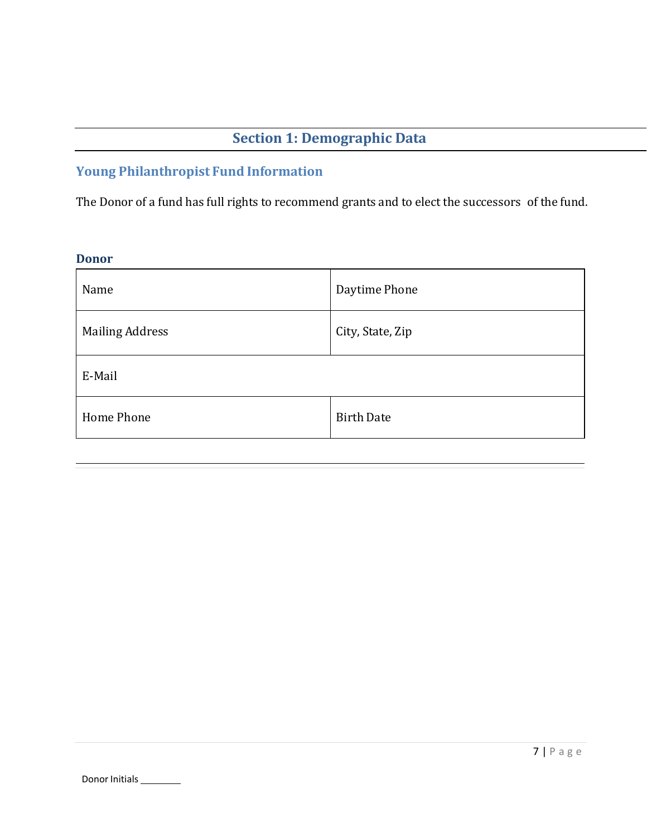# **Section 1: Demographic Data**

# **Young Philanthropist Fund Information**

The Donor of a fund has full rights to recommend grants and to elect the successors of the fund.

### **Donor**

j

| Name                   | Daytime Phone     |  |
|------------------------|-------------------|--|
| <b>Mailing Address</b> | City, State, Zip  |  |
| E-Mail                 |                   |  |
| Home Phone             | <b>Birth Date</b> |  |